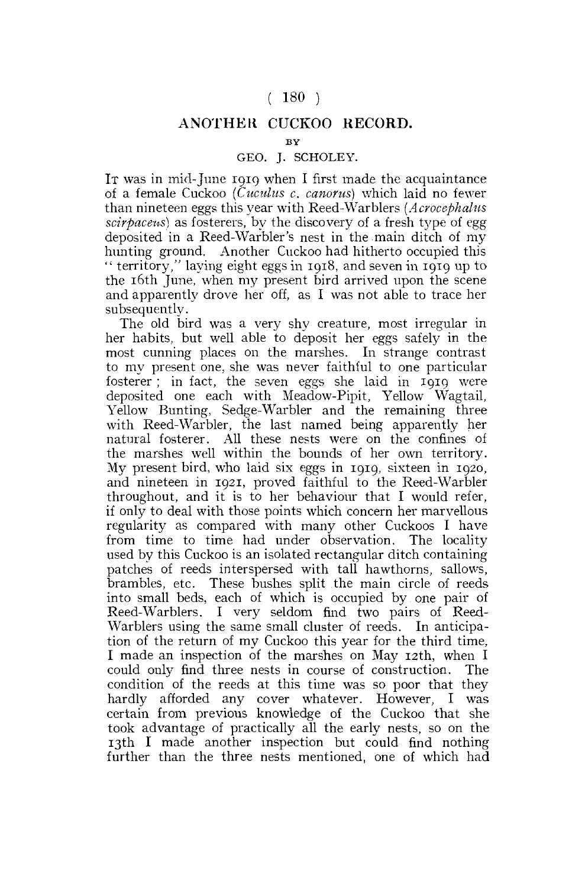## **( 180 )**

## **ANOTHER CUCKOO RECORD.**

## **BY**

## GEO. J. SCHOLEY.

IT was in mid-June 191Q when I first made the acquaintance of a female Cuckoo *(Cuculus c. canorus)* which laid no fewer than nineteen eggs this year with Reed-War biers *(Acrocephalus scirpaceus)* as fosterers, by the discovery of a fresh type of egg deposited in a Reed-Warbler's nest in the main ditch of my hunting ground. Another Cuckoo had hitherto occupied this " territory," laying eight eggs in 1918, and seven in 1919 up to the 16th June, when my present bird arrived upon the scene and apparently drove her off, as I was not able to trace her subsequently.

The old bird was a very shy creature, most irregular in her habits, but well able to deposit her eggs safely in the most cunning places on the marshes. In strange contrast to my present one, she was never faithful to one particular fosterer; in fact, the seven eggs she laid in 1919 were deposited one each with Meadow-Pipit, Yellow Wagtail, Yellow Bunting, Sedge-Warbler and the remaining three with Reed-Warbler, the last named being apparently her natural fosterer. All these nests were on the confines of the marshes well within the bounds of her own territory. My present bird, who laid six eggs in 1919, sixteen in 1920, and nineteen in 1921, proved faithful to the Reed-Warbler throughout, and it is to her behaviour that I would refer, if only to deal with those points which concern her marvellous regularity as compared with many other Cuckoos I have from time to time had under observation. The locality used by this Cuckoo is an isolated rectangular ditch containing patches of reeds interspersed with tall hawthorns, sallows, brambles, etc. These bushes split the main circle of reeds into small beds, each of which is occupied by one pair of Reed-Warblers. I very seldom find two pairs of Reed-Warblers using the same small cluster of reeds. In anticipation of the return of my Cuckoo this year for the third time, I made an inspection of the marshes on May 12th, when I could only find three nests in course of construction. The condition of the reeds at this time was so poor that they hardly afforded any cover whatever. However, I was certain from previous knowledge of the Cuckoo that she took advantage of practically all the early nests, so on the 13th I made another inspection but could find nothing further than the three nests mentioned, one of which had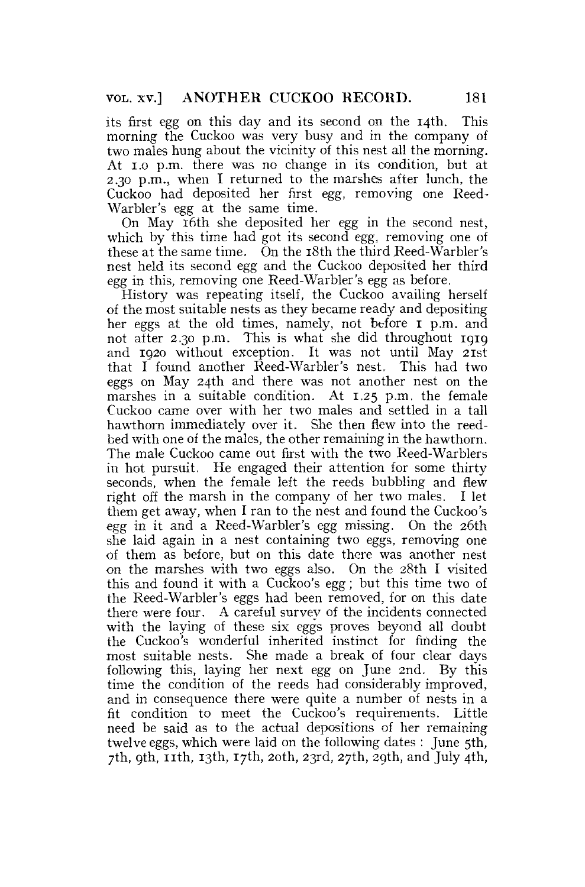its first egg on this day and its second on the 14th. This morning the Cuckoo was very busy and in the company of two males hung about the vicinity of this nest all the morning. At 1.0 p.m. there was no change in its condition, but at 2.30 p.m., when I returned to the marshes after lunch, the Cuckoo had deposited her first *egg,* removing one Reed-Warbler's egg at the same time.

On May 16th she deposited her egg in the second nest, which by this time had got its second *egg,* removing one of these at the same time. On the 18th the third Reed-Warbler's nest held its second egg and the Cuckoo deposited her third *egg* in this, removing one Reed-Warbler's egg as before.

History was repeating itself, the Cuckoo availing herself of the most suitable nests as they became ready and depositing her eggs at the old times, namely, not before I p.m. and not after 2.30 p.m. This is what she did throughout 1919 and 1920 without exception. It was not until May 21st that I found another Reed-Warbler's nest. This had two eggs on May 24th and there was not another nest on the marshes in a suitable condition. At 1.25 p.m. the female Cuckoo came over with her two males and settled in a tall hawthorn immediately over it. She then flew into the reedbed with one of the males, the other remaining in the hawthorn. The male Cuckoo came out first with the two Reed-Warblers in hot pursuit. He engaged their attention for some thirty seconds, when the female left the reeds bubbling and flew right off the marsh in the company of her two males. I let them get away, when I ran to the nest and found the Cuckoo's egg in it and a Reed-Warbler's egg missing. On the 26th she laid again in a nest containing two eggs, removing one of them as before, but on this date there was another nest on the marshes with two eggs also. On the 28th I visited this and found it with a Cuckoo's egg; but this time two of the Reed-Warbler's eggs had been removed, for on this date there were four. A careful survey of the incidents connected with the laying of these six eggs proves beyond all doubt the Cuckoo's wonderful inherited instinct for finding the most suitable nests. She made a break of four clear days following this, laying her next egg on June 2nd. By this time the condition of the reeds had considerably improved, and in consequence there were quite a number of nests in a fit condition to meet the Cuckoo's requirements. Little need be said as to the actual depositions of her remaining twelve eggs, which were laid on the following dates : June 5th, 7th, 9th, 11th, 13th, 17th, 20th, 23rd, 27th, 29th, and July 4th,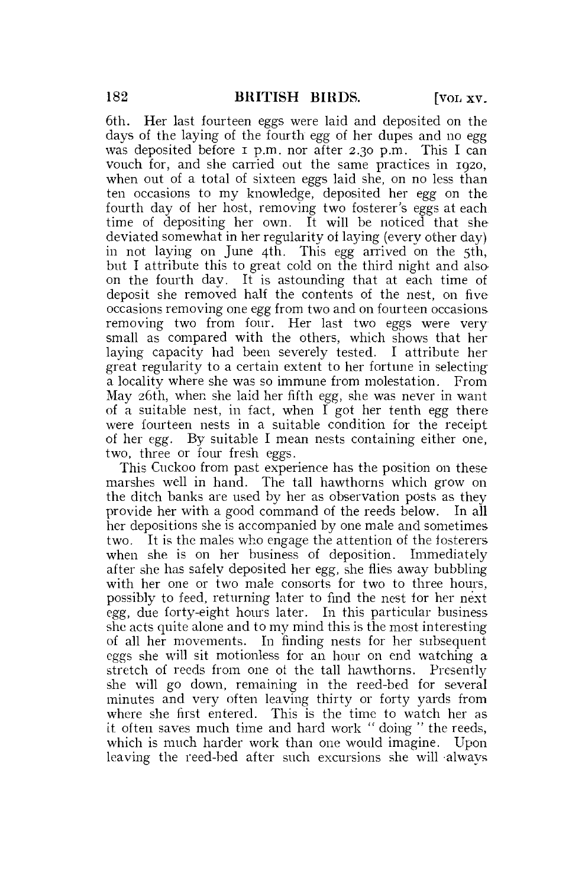6th. Her last fourteen eggs were laid and deposited on the days of the laying of the fourth egg of her dupes and no egg was deposited before **I** p.m. nor after 2.30 p.m. This I can vouch for, and she carried out the same practices in 1920, when out of a total of sixteen eggs laid she, on no less than ten occasions to my knowledge, deposited her egg on the fourth day of her host, removing two fosterer's eggs at each time of depositing her own. It will be noticed that she deviated somewhat in her regularity of laying (every other day) in not laying on June 4th. This egg arrived on the 5th, but I attribute this to great cold on the third night and alsoon the fourth day. It is astounding that at each time of deposit she removed half the contents of the nest, on five occasions removing one egg from two and on fourteen occasions removing two from four. Her last two eggs were very small as compared with the others, which shows that her laying capacity had been severely tested. I attribute her great regularity to a certain extent to her fortune in selecting a locality where she was so immune from molestation. From May 26th, when she laid her fifth egg, she was never in want of a suitable nest, in fact, when I got her tenth egg there were fourteen nests in a suitable condition for the receipt of her egg. By suitable I mean nests containing either one, two, three or four fresh eggs.

This Cuckoo from past experience has the position on these marshes well in hand. The tall hawthorns which grow on the ditch banks are used by her as observation posts as they provide her with a good command of the reeds below. In all her depositions she is accompanied by one male and sometimes two. It is the males who engage the attention of the fosterers when she is on her business of deposition. Immediately after she has safely deposited her egg, she flies away bubbling with her one or two male consorts for two to three hours, possibly to feed, returning later to find the nest for her next egg, due forty-eight hours later. In this particular business she acts quite alone and to my mind this is the most interesting of all her movements. In finding nests for her subsequent eggs she will sit motionless for an hour on end watching a stretch of reeds from one ot the tall hawthorns. Presently she will go down, remaining in the reed-bed for several minutes and very often leaving thirty or forty yards from where she first entered. This is the time to watch her as it often saves much time and hard work " doing " the reeds, which is much harder work than one would imagine. Upon leaving the reed-bed after such excursions she will always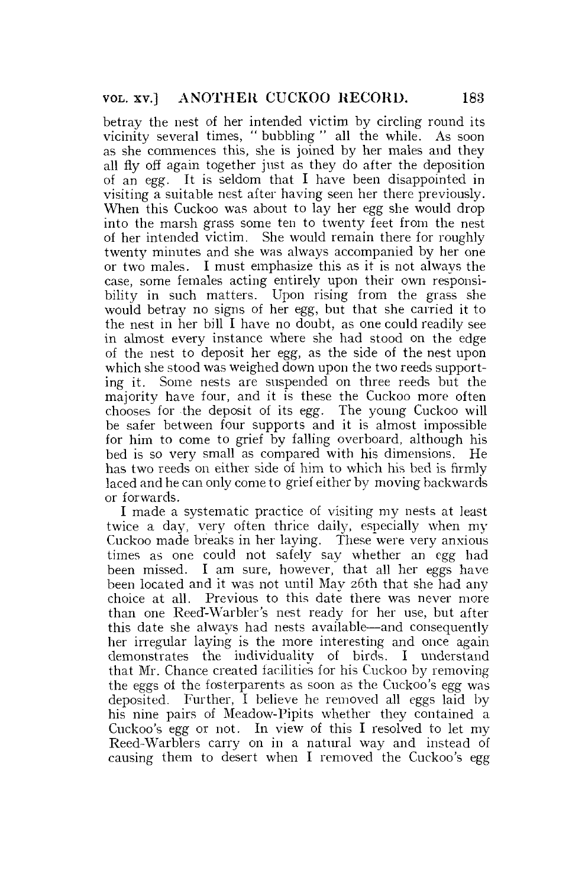betray the nest of her intended victim by circling round its vicinity several times, " bubbling " all the while. As soon as she commences this, she is joined by her males and they all fly off again together just as they do after the deposition of an egg. It is seldom that I have been disappointed in visiting a suitable nest after having seen her there previously. When this Cuckoo was about to lay her egg she would drop into the marsh grass some ten to twenty feet from the nest of her intended victim. She would remain there for roughly twenty minutes and she was always accompanied by her one or two males. I must emphasize this as it is not always the case, some females acting entirely upon their own responsibility in such matters. Upon rising from the grass she would betray no signs of her egg, but that she carried it to the nest in her bill I have no doubt, as one could readily see in almost every instance where she had stood on the edge of the nest to deposit her egg, as the side of the nest upon which she stood was weighed down upon the two reeds supporting it. Some nests are suspended on three reeds but the majority have four, and it is these the Cuckoo more often chooses for the deposit of its egg. The young Cuckoo will be safer between four supports and it is almost impossible for him to come to grief by falling overboard, although his bed is so very small as compared with his dimensions. He has two reeds on either side of him to which his bed is firmly laced and he can only come to grief either by moving backwards or forwards.

I made a systematic practice of visiting my nests at least twice a day, very often thrice daily, especially when my Cuckoo made breaks in her laying. These were very anxious times as one could not safely say whether an egg had been missed. I am sure, however, that all her eggs have been located and it was not until May 26th that she had any choice at all. Previous to this date there was never more than one Reed-Warbler's nest ready for her use, but after this date she always had nests available—and consequently her irregular laying is the more interesting and once again demonstrates the individuality of birds. I understand that Mr. Chance created facilities for his Cuckoo by removing the eggs of the fosterparents as soon as the Cuckoo's egg was deposited. Further, I believe he removed all eggs laid by his nine pairs of Meadow-Pipits whether they contained a Cuckoo's egg or not. In view of this I resolved to let my Reed-Warblers carry on in a natural way and instead of causing them to desert when I removed the Cuckoo's egg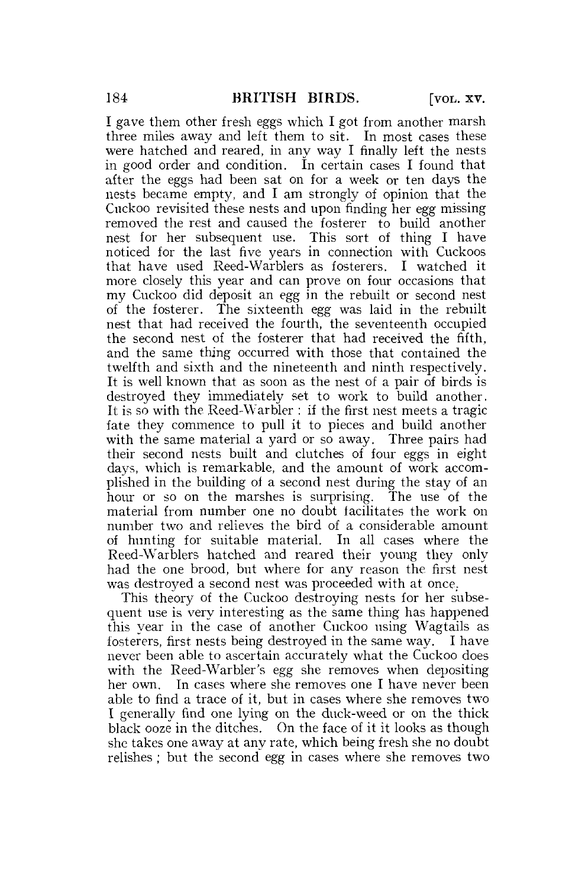I gave them other fresh eggs which I got from another marsh three miles away and left them to sit. In most cases these were hatched and reared, in any way I finally left the nests in good order and condition. In certain cases I found that after the eggs had been sat on for a week or ten days the nests became empty, and I am strongly of opinion that the Cuckoo revisited these nests and upon finding her egg missing removed the rest and caused the fosterer to build another nest for her subsequent use. This sort of thing I have noticed for the last five years in connection with Cuckoos that have used Reed-Warblers as fosterers. I watched it more closely this year and can prove on four occasions that my Cuckoo did deposit an egg in the rebuilt or second nest of the fosterer. The sixteenth egg was laid in the rebuilt nest that had received the fourth, the seventeenth occupied the second nest of the fosterer that had received the fifth, and the same thing occurred with those that contained the twelfth and sixth and the nineteenth and ninth respectively. It is well known that as soon as the nest of a pair of birds is destroyed they immediately set to work to build another. It is so with the Reed-Warbler : if the first nest meets a tragic fate they commence to pull it to pieces and build another with the same material a yard or so away. Three pairs had their second nests built and clutches of four eggs in eight days, which is remarkable, and the amount of work accomplished in the building of a second nest during the stay of an hour or so on the marshes is surprising. The use of the material from number one no doubt facilitates the work on number two and relieves the bird of a considerable amount of hunting for suitable material. In all cases where the Reed-Warblers hatched and reared their young they only had the one brood, but where for any reason the first nest was destroyed a second nest was proceeded with at once.

This theory of the Cuckoo destroying nests for her subsequent use is very interesting as the same thing has happened this year in the case of another Cuckoo using Wagtails as fosterers, first nests being destroyed in the same way. I have never been able to ascertain accurately what the Cuckoo does with the Reed-Warbler's egg she removes when depositing her own. In cases where she removes one I have never been able to find a trace of it, but in cases where she removes two I generally find one lying on the duck-weed or on the thick black ooze in the ditches. On the face of it it looks as though she takes one away at any rate, which being fresh she no doubt relishes ; but the second egg in cases where she removes two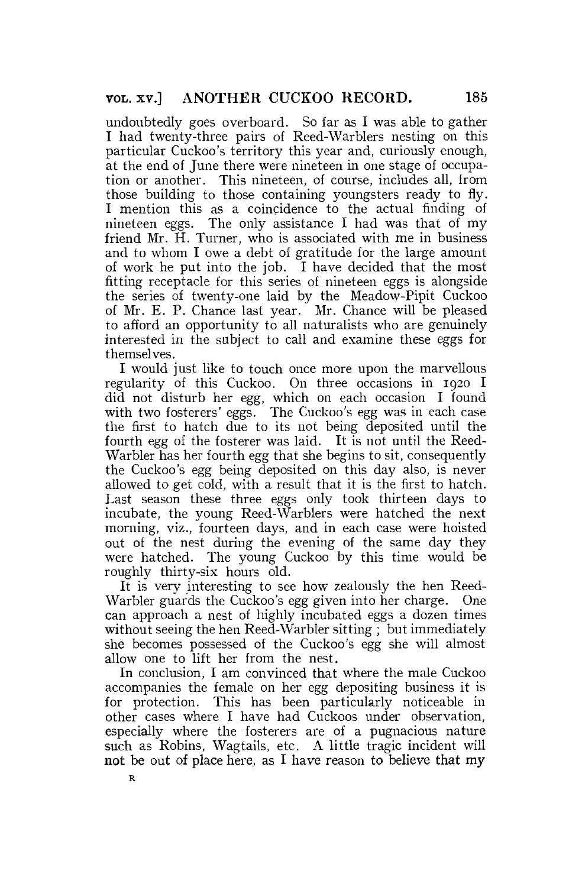undoubtedly goes overboard. So far as I was able to gather I had twenty-three pairs of Reed-Warblers nesting on this particular Cuckoo's territory this year and, curiously enough, at the end of June there were nineteen in one stage of occupation or another. This nineteen, of course, includes all, from those building to those containing youngsters ready to fly. I mention this as a coincidence to the actual finding of nineteen eggs. The only assistance I had was that of my friend Mr. H. Turner, who is associated with me in business and to whom I owe a debt of gratitude for the large amount of work he put into the job. I have decided that the most fitting receptacle for this series of nineteen eggs is alongside the series of twenty-one laid by the Meadow-Pipit Cuckoo of Mr. E. P. Chance last year. Mr. Chance will be pleased to afford an opportunity to all naturalists who are genuinely interested in the subject to call and examine these eggs for themselves.

I would just like to touch once more upon the marvellous regularity of this Cuckoo. On three occasions in 1920 I did not disturb her egg, which on each occasion I found with two fosterers' eggs. The Cuckoo's egg was in each case the first to hatch due to its not being deposited until the fourth egg of the fosterer was laid. It is not until the Reed-Warbler has her fourth egg that she begins to sit, consequently the Cuckoo's egg being deposited on this day also, is never allowed to get cold, with a result that it is the first to hatch. Last season these three eggs only took thirteen days to incubate, the young Reed-Warblers were hatched the next morning, viz., fourteen days, and in each case were hoisted out of the nest during the evening of the same day they were hatched. The young Cuckoo by this time would be roughly thirty-six hours old.

It is very interesting to see how zealously the hen Reed-Warbler guards the Cuckoo's egg given into her charge. One can approach a nest of highly incubated eggs a dozen times without seeing the hen Reed-Warbler sitting ; but immediately she becomes possessed of the Cuckoo's egg she will almost allow one to lift her from the nest.

In conclusion, I am convinced that where the male Cuckoo accompanies the female on her egg depositing business it is for protection. This has been particularly noticeable in other cases where I have had Cuckoos under observation, especially where the fosterers are of a pugnacious nature such as Robins, Wagtails, etc. A little tragic incident will **not** be out of place here, as I have reason to believe that my